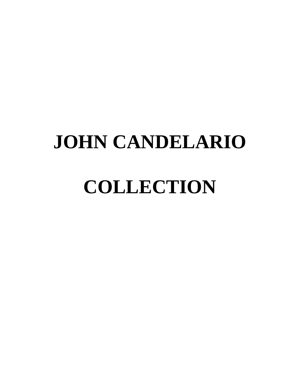# **JOHN CANDELARIO**

# **COLLECTION**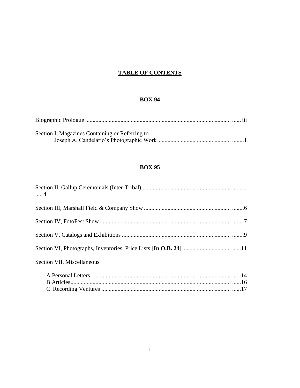#### **TABLE OF CONTENTS**

#### **BOX 94**

| Section I, Magazines Containing or Referring to |  |
|-------------------------------------------------|--|
|                                                 |  |

#### **BOX 95**

| $\dots$ .4                 |  |
|----------------------------|--|
|                            |  |
|                            |  |
|                            |  |
|                            |  |
| Section VII, Miscellaneous |  |
|                            |  |
|                            |  |
|                            |  |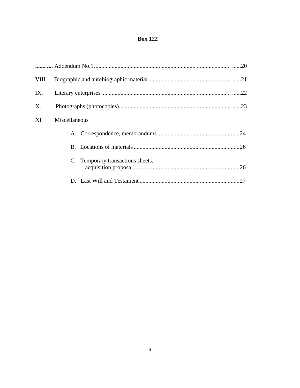#### **Box 122**

| VIII. |                                          |  |  |
|-------|------------------------------------------|--|--|
| IX.   |                                          |  |  |
| X.    |                                          |  |  |
| XI    | Miscellaneous                            |  |  |
|       |                                          |  |  |
|       |                                          |  |  |
|       | C. Temporary transactions sheets;<br>.26 |  |  |
|       |                                          |  |  |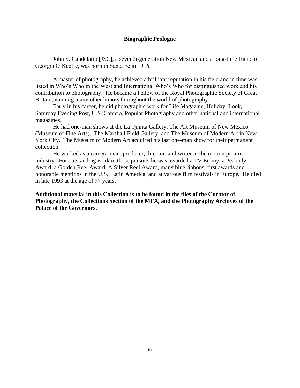#### **Biographic Prologue**

John S. Candelario [JSC], a seventh-generation New Mexican and a long-time friend of Georgia O'Keeffe, was born in Santa Fe in 1916.

A master of photography, he achieved a brilliant reputation in his field and in time was listed in Who's Who in the West and International Who's Who for distinguished work and his contribution to photography. He became a Fellow of the Royal Photographic Society of Great Britain, winning many other honors throughout the world of photography.

Early in his career, he did photographic work for Life Magazine, Holiday, Look, Saturday Evening Post, U.S. Camera, Popular Photography and other national and international magazines.

He had one-man shows at the La Quinta Gallery, The Art Museum of New Mexico, (Museum of Fine Arts). The Marshall Field Gallery, and The Museum of Modern Art in New York City. The Museum of Modern Art acquired his last one-man show for their permanent collection.

He worked as a camera-man, producer, director, and writer in the motion picture industry. For outstanding work in those pursuits he was awarded a TV Emmy, a Peabody Award, a Golden Reel Award, A Silver Reel Award, many blue ribbons, first awards and honorable mentions in the U.S., Latin America, and at various film festivals in Europe. He died in late 1993 at the age of 77 years.

**Additional material in this Collection is to be found in the files of the Curator of Photography, the Collections Section of the MFA, and the Photography Archives of the Palace of the Governors.**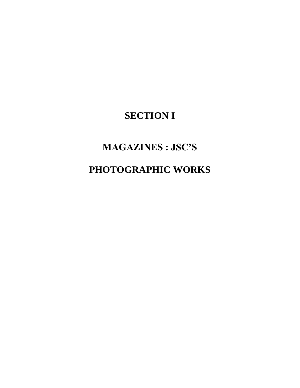## **SECTION I**

## **MAGAZINES : JSC'S**

## **PHOTOGRAPHIC WORKS**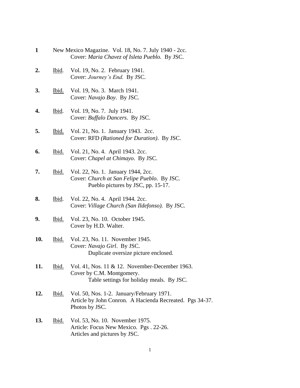- **1** New Mexico Magazine. Vol. 18, No. 7. July 1940 2cc. Cover: *Maria Chavez of Isleta Pueblo.* By JSC.
- **2.** Ibid. Vol. 19, No. 2. February 1941. Cover: *Journey's End.* By JSC.
- **3.** Ibid. Vol. 19, No. 3. March 1941. Cover: *Navajo Boy*. By JSC.
- **4.** Ibid. Vol. 19, No. 7. July 1941. Cover: *Buffalo Dancers*. By JSC.
- **5.** Ibid. Vol. 21, No. 1. January 1943. 2cc. Cover: RFD *(Rationed for Duration)*. By JSC.
- **6.** Ibid. Vol. 21, No. 4. April 1943. 2cc. Cover: *Chapel at Chimayo*. By JSC.
- **7.** Ibid. Vol. 22, No. 1. January 1944, 2cc. Cover: *Church at San Felipe Pueblo*. By JSC. Pueblo pictures by JSC, pp. 15-17.
- **8.** Ibid. Vol. 22, No. 4. April 1944. 2cc. Cover: *Village Church (San Ildefonso).* By JSC.
- **9.** Ibid. Vol. 23, No. 10. October 1945. Cover by H.D. Walter.
- **10.** Ibid. Vol. 23, No. 11. November 1945. Cover: *Navajo Girl*. By JSC. Duplicate oversize picture enclosed.
- **11.** Ibid. Vol. 41, Nos. 11 & 12. November-December 1963. Cover by C.M. Montgomery. Table settings for holiday meals. By JSC.
- **12.** Ibid. Vol. 50, Nos. 1-2. January/February 1971. Article by John Conron. A Hacienda Recreated. Pgs 34-37. Photos by JSC.
- **13.** Ibid. Vol. 53, No. 10. November 1975. Article: Focus New Mexico. Pgs . 22-26. Articles and pictures by JSC.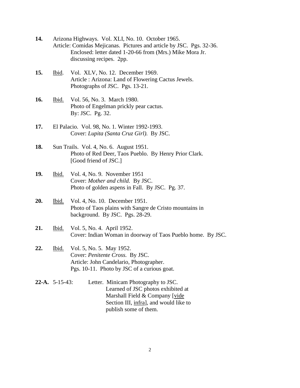- **14.** Arizona Highways. Vol. XLI, No. 10. October 1965. Article: Comidas Mejicanas. Pictures and article by JSC. Pgs. 32-36. Enclosed: letter dated 1-20-66 from (Mrs.) Mike Mora Jr. discussing recipes. 2pp.
- **15.** Ibid. Vol. XLV, No. 12. December 1969. Article : Arizona: Land of Flowering Cactus Jewels. Photographs of JSC. Pgs. 13-21.
- **16.** Ibid. Vol. 56, No. 3. March 1980. Photo of Engelman prickly pear cactus. By: JSC. Pg. 32.
- **17.** El Palacio. Vol. 98, No. 1. Winter 1992-1993. Cover: *Lupita (Santa Cruz Girl).* By JSC.
- **18.** Sun Trails. Vol. 4, No. 6. August 1951. Photo of Red Deer, Taos Pueblo. By Henry Prior Clark. [Good friend of JSC.]
- **19.** Ibid. Vol. 4, No. 9. November 1951 Cover: *Mother and child.* By JSC. Photo of golden aspens in Fall. By JSC. Pg. 37.
- **20.** Ibid. Vol. 4, No. 10. December 1951. Photo of Taos plains with Sangre de Cristo mountains in background. By JSC. Pgs. 28-29.
- **21.** Ibid. Vol. 5, No. 4. April 1952. Cover: Indian Woman in doorway of Taos Pueblo home. By JSC.
- **22.** Ibid. Vol. 5, No. 5. May 1952. Cover: *Penitente Cross.* By JSC. Article: John Candelario, Photographer. Pgs. 10-11. Photo by JSC of a curious goat.
- **22-A.** 5-15-43: Letter. Minicam Photography to JSC. Learned of JSC photos exhibited at Marshall Field & Company [vide Section III, infra], and would like to publish some of them.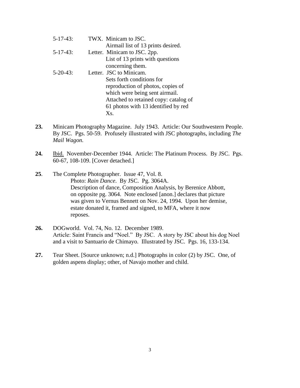| $5 - 17 - 43$ : | TWX. Minicam to JSC.                  |
|-----------------|---------------------------------------|
|                 | Airmail list of 13 prints desired.    |
| $5-17-43$ :     | Letter. Minicam to JSC. 2pp.          |
|                 | List of 13 prints with questions      |
|                 | concerning them.                      |
| $5 - 20 - 43$   | Letter. JSC to Minicam.               |
|                 | Sets forth conditions for             |
|                 | reproduction of photos, copies of     |
|                 | which were being sent airmail.        |
|                 | Attached to retained copy: catalog of |
|                 | 61 photos with 13 identified by red   |
|                 | Xs.                                   |
|                 |                                       |

- **23.** Minicam Photography Magazine. July 1943. Article: Our Southwestern People. By JSC. Pgs. 50-59. Profusely illustrated with JSC photographs, including *The Mail Wagon.*
- **24.** Ibid. November-December 1944. Article: The Platinum Process. By JSC. Pgs. 60-67, 108-109. [Cover detached.]
- **25**. The Complete Photographer. Issue 47, Vol. 8. Photo: *Rain Dance*. By JSC. Pg. 3064A. Description of dance, Composition Analysis, by Berenice Abbott, on opposite pg. 3064. Note enclosed [anon.] declares that picture was given to Vernus Bennett on Nov. 24, 1994. Upon her demise, estate donated it, framed and signed, to MFA, where it now reposes.
- **26.** DOGworld. Vol. 74, No. 12. December 1989. Article: Saint Francis and "Noel." By JSC. A story by JSC about his dog Noel and a visit to Santuario de Chimayo. Illustrated by JSC. Pgs. 16, 133-134.
- **27.** Tear Sheet. [Source unknown; n.d.] Photographs in color (2) by JSC. One, of golden aspens display; other, of Navajo mother and child.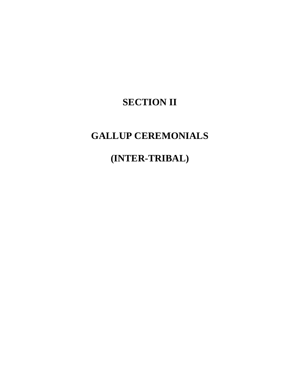## **SECTION II**

### **GALLUP CEREMONIALS**

## **(INTER-TRIBAL)**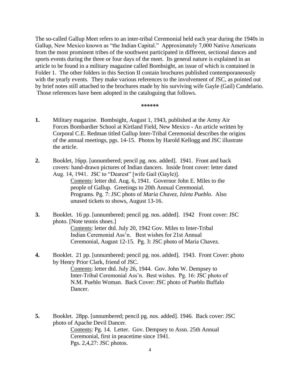The so-called Gallup Meet refers to an inter-tribal Ceremonial held each year during the 1940s in Gallup, New Mexico known as "the Indian Capital." Approximately 7,000 Native Americans from the most prominent tribes of the southwest participated in different, sectional dances and sports events during the three or four days of the meet. Its general nature is explained in an article to be found in a military magazine called Bombsight, an issue of which is contained in Folder 1. The other folders in this Section II contain brochures published contemporaneously with the yearly events. They make various references to the involvement of JSC, as pointed out by brief notes still attached to the brochures made by his surviving wife Gayle (Gail) Candelario. Those references have been adopted in the cataloguing that follows.

#### **\*\*\*\*\*\***

- **1.** Military magazine. Bombsight, August 1, 1943, published at the Army Air Forces Bombardier School at Kirtland Field, New Mexico - An article written by Corporal C.E. Redman titled Gallup Inter-Tribal Ceremonial describes the origins of the annual meetings, pgs. 14-15. Photos by Harold Kellogg and JSC illustrate the article.
- **2.** Booklet, 16pp. [unnumbered; pencil pg. nos. added]. 1941. Front and back covers: hand-drawn pictures of Indian dancers. Inside front cover: letter dated Aug. 14, 1941. JSC to "Dearest" [wife Gail (Gayle)].

Contents: letter dtd. Aug. 6, 1941. Governor John E. Miles to the people of Gallup. Greetings to 20th Annual Ceremonial. Programs. Pg. 7: JSC photo of *Maria Chavez, Isleta Pueblo*. Also unused tickets to shows, August 13-16.

- **3.** Booklet. 16 pp. [unnumbered; pencil pg. nos. added]. 1942 Front cover: JSC photo. [Note tennis shoes.] Contents: letter dtd. July 20, 1942 Gov. Miles to Inter-Tribal Indian Ceremonial Ass'n. Best wishes for 21st Annual Ceremonial, August 12-15. Pg. 3: JSC photo of Maria Chavez.
- **4.** Booklet. 21 pp. [unnumbered; pencil pg. nos. added]. 1943. Front Cover: photo by Henry Prior Clark, friend of JSC. Contents: letter dtd. July 26, 1944. Gov. John W. Dempsey to Inter-Tribal Ceremonial Ass'n. Best wishes. Pg. 16: JSC photo of N.M. Pueblo Woman. Back Cover: JSC photo of Pueblo Buffalo Dancer.
- **5.** Booklet. 28pp. [unnumbered; pencil pg. nos. added]. 1946. Back cover: JSC photo of Apache Devil Dancer. Contents: Pg. 14. Letter. Gov. Dempsey to Assn. 25th Annual Ceremonial, first in peacetime since 1941. Pgs. 2,4,27: JSC photos.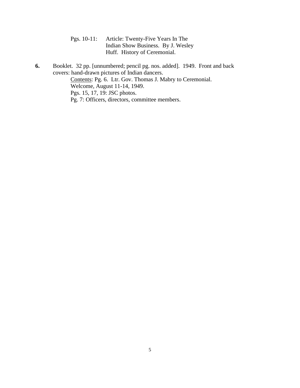| Pgs. 10-11: Article: Twenty-Five Years In The |
|-----------------------------------------------|
| Indian Show Business. By J. Wesley            |
| Huff. History of Ceremonial.                  |

**6.** Booklet. 32 pp. [unnumbered; pencil pg. nos. added]. 1949. Front and back covers: hand-drawn pictures of Indian dancers. Contents: Pg. 6. Ltr. Gov. Thomas J. Mabry to Ceremonial. Welcome, August 11-14, 1949. Pgs. 15, 17, 19: JSC photos. Pg. 7: Officers, directors, committee members.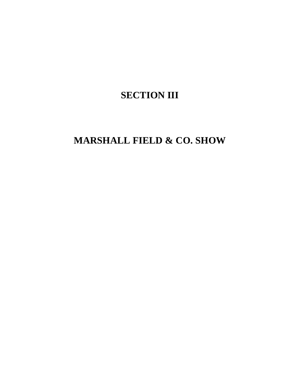## **SECTION III**

## **MARSHALL FIELD & CO. SHOW**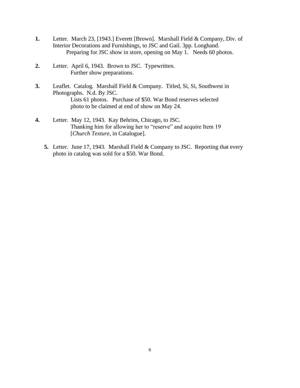- **1.** Letter. March 23, [1943.] Everett [Brown]. Marshall Field & Company, Div. of Interior Decorations and Furnishings, to JSC and Gail. 3pp. Longhand. Preparing for JSC show in store, opening on May 1. Needs 60 photos.
- **2.** Letter. April 6, 1943. Brown to JSC. Typewritten. Further show preparations.
- **3.** Leaflet. Catalog. Marshall Field & Company. Titled, Si, Si, Southwest in Photographs. N.d. By JSC. Lists 61 photos. Purchase of \$50. War Bond reserves selected photo to be claimed at end of show on May 24.
- **4.** Letter. May 12, 1943. Kay Behrins, Chicago, to JSC. Thanking him for allowing her to "reserve" and acquire Item 19 [*Church Texture*, in Catalogue].
	- **5.** Letter. June 17, 1943. Marshall Field & Company to JSC. Reporting that every photo in catalog was sold for a \$50. War Bond.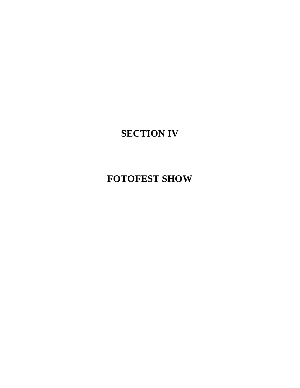## **FOTOFEST SHOW**

**SECTION IV**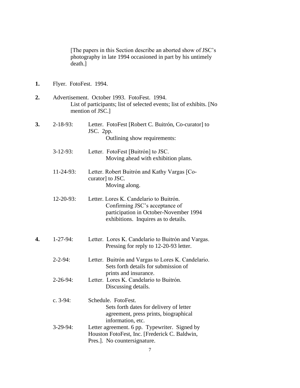|    | death.]                | [The papers in this Section describe an aborted show of JSC's<br>photography in late 1994 occasioned in part by his untimely                                |
|----|------------------------|-------------------------------------------------------------------------------------------------------------------------------------------------------------|
| 1. | Flyer. FotoFest. 1994. |                                                                                                                                                             |
| 2. |                        | Advertisement. October 1993. FotoFest. 1994.<br>List of participants; list of selected events; list of exhibits. [No<br>mention of JSC.]                    |
| 3. | $2 - 18 - 93$ :        | Letter. FotoFest [Robert C. Buitrón, Co-curator] to<br>JSC. $2pp.$<br>Outlining show requirements:                                                          |
|    | $3-12-93$ :            | Letter. FotoFest [Buitrón] to JSC.<br>Moving ahead with exhibition plans.                                                                                   |
|    | $11-24-93$ :           | Letter. Robert Buitrón and Kathy Vargas [Co-<br>curator] to JSC.<br>Moving along.                                                                           |
|    | $12 - 20 - 93$ :       | Letter. Lores K. Candelario to Buitrón.<br>Confirming JSC's acceptance of<br>participation in October-November 1994<br>exhibitions. Inquires as to details. |
| 4. | $1 - 27 - 94$ :        | Letter. Lores K. Candelario to Buitrón and Vargas.<br>Pressing for reply to 12-20-93 letter.                                                                |
|    | $2 - 2 - 94$ :         | Letter. Buitrón and Vargas to Lores K. Candelario.<br>Sets forth details for submission of                                                                  |
|    | $2 - 26 - 94$ :        | prints and insurance.<br>Letter. Lores K. Candelario to Buitrón.<br>Discussing details.                                                                     |
|    | c. $3-94$ :            | Schedule. FotoFest.<br>Sets forth dates for delivery of letter<br>agreement, press prints, biographical<br>information, etc.                                |
|    | $3-29-94$ :            | Letter agreement. 6 pp. Typewriter. Signed by<br>Houston FotoFest, Inc. [Frederick C. Baldwin,<br>Pres.]. No countersignature.<br>7                         |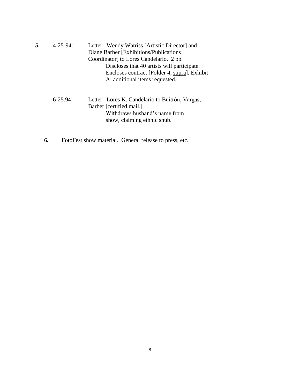| 5. | $4 - 25 - 94$ : | Letter. Wendy Watriss [Artistic Director] and<br>Diane Barber [Exhibitions/Publications]<br>Coordinator] to Lores Candelario. 2 pp.<br>Discloses that 40 artists will participate.<br>Encloses contract [Folder 4, supra], Exhibit<br>A; additional items requested. |
|----|-----------------|----------------------------------------------------------------------------------------------------------------------------------------------------------------------------------------------------------------------------------------------------------------------|
|    | $6-25.94$       | Letter. Lores K. Candelario to Buitrón, Vargas,<br>Barber [certified mail.]<br>Withdraws husband's name from<br>show, claiming ethnic snub.                                                                                                                          |

**6.** FotoFest show material. General release to press, etc.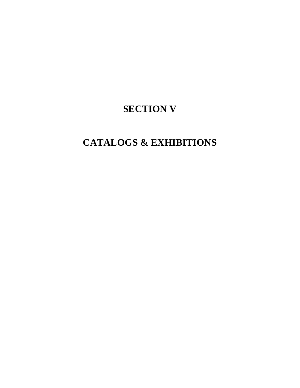### **SECTION V**

## **CATALOGS & EXHIBITIONS**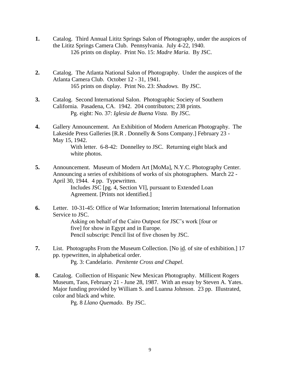- **1.** Catalog. Third Annual Lititz Springs Salon of Photography, under the auspices of the Lititz Springs Camera Club. Pennsylvania. July 4-22, 1940. 126 prints on display. Print No. 15: *Madre Maria*. By JSC.
- **2.** Catalog. The Atlanta National Salon of Photography. Under the auspices of the Atlanta Camera Club. October 12 - 31, 1941. 165 prints on display. Print No. 23: *Shadows.* By JSC.
- **3.** Catalog. Second International Salon. Photographic Society of Southern California. Pasadena, CA. 1942. 204 contributors; 238 prints. Pg. eight: No. 37: *Iglesia de Buena Vista.* By JSC.
- **4.** Gallery Announcement. An Exhibition of Modern American Photography. The Lakeside Press Galleries [R.R . Donnelly & Sons Company.] February 23 - May 15, 1942.

With letter. 6-8-42: Donnelley to JSC. Returning eight black and white photos.

- **5.** Announcement. Museum of Modern Art [MoMa], N.Y.C. Photography Center. Announcing a series of exhibitions of works of six photographers. March 22 - April 30, 1944. 4 pp. Typewritten. Includes JSC [pg. 4, Section VI], pursuant to Extended Loan Agreement. [Prints not identified.]
- **6.** Letter. 10-31-45: Office of War Information; Interim International Information Service to JSC.

Asking on behalf of the Cairo Outpost for JSC's work [four or five] for show in Egypt and in Europe. Pencil subscript: Pencil list of five chosen by JSC.

- **7.** List. Photographs From the Museum Collection. [No id. of site of exhibition.] 17 pp. typewritten, in alphabetical order. Pg. 3: Candelario. *Penitente Cross and Chapel*.
- **8.** Catalog. Collection of Hispanic New Mexican Photography. Millicent Rogers Museum, Taos, February 21 - June 28, 1987. With an essay by Steven A. Yates. Major funding provided by William S. and Luanna Johnson. 23 pp. Illustrated, color and black and white.

Pg. 8 *Llano Quemado*. By JSC.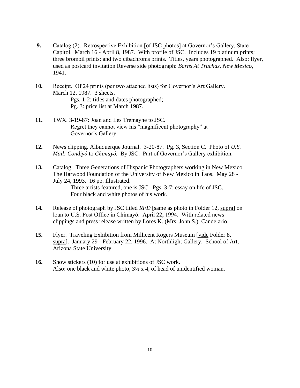- **9.** Catalog (2). Retrospective Exhibition [of JSC photos] at Governor's Gallery, State Capitol. March 16 - April 8, 1987. With profile of JSC. Includes 19 platinum prints; three bromoil prints; and two cibachroms prints. Titles, years photographed. Also: flyer, used as postcard invitation Reverse side photograph: *Barns At Truchas, New Mexico*, 1941.
- **10.** Receipt. Of 24 prints (per two attached lists) for Governor's Art Gallery. March 12, 1987. 3 sheets. Pgs. 1-2: titles and dates photographed; Pg. 3: price list at March 1987.
- **11.** TWX. 3-19-87: Joan and Les Tremayne to JSC. Regret they cannot view his "magnificent photography" at Governor's Gallery.
- **12.** News clipping. Albuquerque Journal. 3-20-87. Pg. 3, Section C. Photo of *U.S. Mail: Condiyό* to *Chimayό.* By JSC. Part of Governor's Gallery exhibition.
- **13.** Catalog. Three Generations of Hispanic Photographers working in New Mexico. The Harwood Foundation of the University of New Mexico in Taos. May 28 - July 24, 1993. 16 pp. Illustrated. Three artists featured, one is JSC. Pgs. 3-7: essay on life of JSC. Four black and white photos of his work.
- **14.** Release of photograph by JSC titled *RFD* [same as photo in Folder 12, supra] on loan to U.S. Post Office in Chimayό. April 22, 1994. With related news clippings and press release written by Lores K. (Mrs. John S.) Candelario.
- **15.** Flyer. Traveling Exhibition from Millicent Rogers Museum [vide Folder 8, supra]. January 29 - February 22, 1996. At Northlight Gallery. School of Art, Arizona State University.
- **16.** Show stickers (10) for use at exhibitions of JSC work. Also: one black and white photo,  $3\frac{1}{2} \times 4$ , of head of unidentified woman.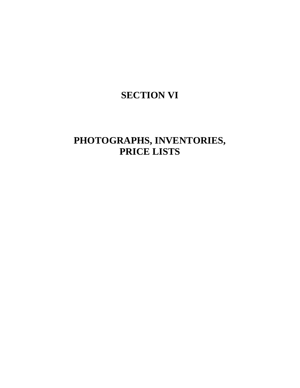### **SECTION VI**

### **PHOTOGRAPHS, INVENTORIES, PRICE LISTS**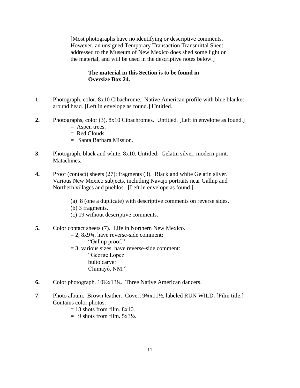[Most photographs have no identifying or descriptive comments. However, an unsigned Temporary Transaction Transmittal Sheet addressed to the Museum of New Mexico does shed some light on the material, and will be used in the descriptive notes below.]

#### **The material in this Section is to be found in Oversize Box 24.**

- **1.** Photograph, color. 8x10 Cibachrome. Native American profile with blue blanket around head. [Left in envelope as found.] Untitled.
- **2.** Photographs, color (3). 8x10 Cibachromes. Untitled. [Left in envelope as found.]  $=$  Aspen trees.
	- $=$  Red Clouds.
	- = Santa Barbara Mission.
- **3.** Photograph, black and white. 8x10. Untitled. Gelatin silver, modern print. Matachines.
- **4.** Proof (contact) sheets (27); fragments (3). Black and white Gelatin silver. Various New Mexico subjects, including Navajo portraits near Gallup and Northern villages and pueblos. [Left in envelope as found.]
	- (a) 8 (one a duplicate) with descriptive comments on reverse sides.
	- (b) 3 fragments.
	- (c) 19 without descriptive comments.
- **5.** Color contact sheets (7). Life in Northern New Mexico.
	- $= 2$ , 8x9<sup>3</sup>/<sub>4</sub>, have reverse-side comment:
		- "Gallup proof."
	- $= 3$ , various sizes, have reverse-side comment: "George Lopez bulto carver Chimayó, NM."
- **6.** Color photograph. 10½x13¼. Three Native American dancers.
- **7.** Photo album. Brown leather. Cover,  $9\frac{3}{4}x11\frac{1}{2}$ , labeled RUN WILD. [Film title.] Contains color photos.
	- $= 13$  shots from film.  $8x10$ .
	- $= 9$  shots from film.  $5x3\frac{1}{2}$ .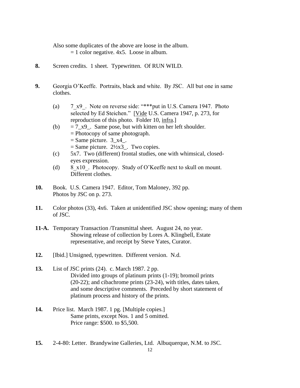Also some duplicates of the above are loose in the album.  $= 1$  color negative. 4x5. Loose in album.

- **8.** Screen credits. 1 sheet. Typewritten. Of RUN WILD.
- **9.** Georgia O'Keeffe. Portraits, black and white. By JSC. All but one in same clothes.
	- (a) 7 x9. Note on reverse side: "\*\*\*put in U.S. Camera 1947. Photo selected by Ed Steichen." [Vide U.S. Camera 1947, p. 273, for reproduction of this photo. Folder 10, infra.]
	- (b)  $= 7-x9$ . Same pose, but with kitten on her left shoulder. = Photocopy of same photograph.  $=$  Same picture. 3  $x4$ .  $=$  Same picture. 2½x3\_. Two copies.
	- (c) 5x7. Two (different) frontal studies, one with whimsical, closedeyes expression.
	- (d) 8  $x10$ . Photocopy. Study of O'Keeffe next to skull on mount. Different clothes.
- **10.** Book. U.S. Camera 1947. Editor, Tom Maloney, 392 pp. Photos by JSC on p. 273.
- **11.** Color photos (33), 4x6. Taken at unidentified JSC show opening; many of them of JSC.
- **11-A.** Temporary Transaction /Transmittal sheet. August 24, no year. Showing release of collection by Lores A. Klingbell, Estate representative, and receipt by Steve Yates, Curator.
- **12.** [Ibid.] Unsigned, typewritten. Different version. N.d.
- **13.** List of JSC prints (24). c. March 1987. 2 pp. Divided into groups of platinum prints (1-19); bromoil prints (20-22); and cibachrome prints (23-24), with titles, dates taken, and some descriptive comments. Preceded by short statement of platinum process and history of the prints.
- **14.** Price list. March 1987. 1 pg. [Multiple copies.] Same prints, except Nos. 1 and 5 omitted. Price range: \$500. to \$5,500.
- **15.** 2-4-80: Letter. Brandywine Galleries, Ltd. Albuquerque, N.M. to JSC.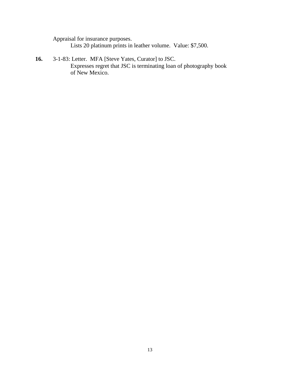Appraisal for insurance purposes. Lists 20 platinum prints in leather volume. Value: \$7,500.

**16.** 3-1-83: Letter. MFA [Steve Yates, Curator] to JSC. Expresses regret that JSC is terminating loan of photography book of New Mexico.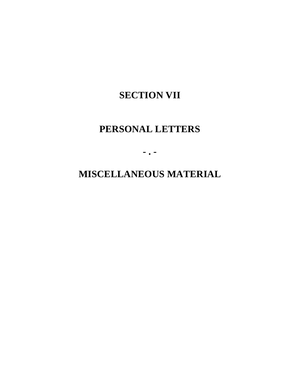### **SECTION VII**

### **PERSONAL LETTERS**

**- . -**

**MISCELLANEOUS MATERIAL**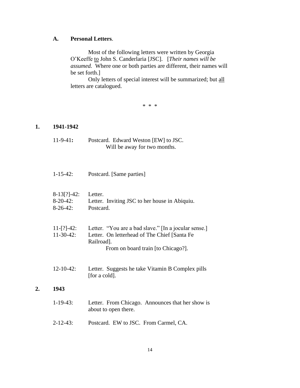#### **A. Personal Letters**.

Most of the following letters were written by Georgia O'Keeffe to John S. Canderlaria [JSC]. [*Their names will be assumed.* Where one or both parties are different, their names will be set forth.]

Only letters of special interest will be summarized; but all letters are catalogued.

\* \* \*

#### **1. 1941-1942**

**2. 1943**

| $11-9-41$ :                                 | Postcard. Edward Weston [EW] to JSC.<br>Will be away for two months.                                                                                     |
|---------------------------------------------|----------------------------------------------------------------------------------------------------------------------------------------------------------|
| $1 - 15 - 42$ :                             | Postcard. [Same parties]                                                                                                                                 |
| $8-13[?]-42:$<br>$8-20-42$ :<br>$8-26-42$ : | Letter.<br>Letter. Inviting JSC to her house in Abiquiu.<br>Postcard.                                                                                    |
| $11-[?]-42:$<br>$11-30-42$ :                | Letter. "You are a bad slave." [In a jocular sense.]<br>Letter. On letterhead of The Chief [Santa Fe<br>Railroad].<br>From on board train [to Chicago?]. |
| $12 - 10 - 42$ :                            | Letter. Suggests he take Vitamin B Complex pills<br>[for a cold].                                                                                        |
| 1943                                        |                                                                                                                                                          |
| $1-19-43$ :                                 | Letter. From Chicago. Announces that her show is<br>about to open there.                                                                                 |
| $2 - 12 - 43$ :                             | Postcard. EW to JSC. From Carmel, CA.                                                                                                                    |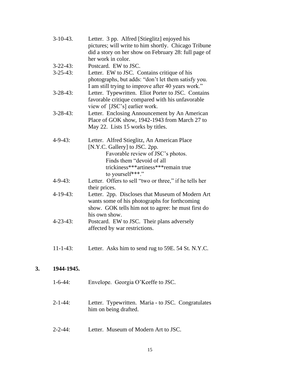| $3-10-43$ .     | Letter. 3 pp. Alfred [Stieglitz] enjoyed his<br>pictures; will write to him shortly. Chicago Tribune |
|-----------------|------------------------------------------------------------------------------------------------------|
|                 | did a story on her show on February 28: full page of                                                 |
|                 | her work in color.                                                                                   |
| $3 - 22 - 43$ : | Postcard. EW to JSC.                                                                                 |
| $3 - 25 - 43$ : | Letter. EW to JSC. Contains critique of his                                                          |
|                 | photographs, but adds: "don't let them satisfy you.                                                  |
|                 | I am still trying to improve after 40 years work."                                                   |
| $3 - 28 - 43$ : | Letter. Typewritten. Eliot Porter to JSC. Contains                                                   |
|                 | favorable critique compared with his unfavorable                                                     |
|                 | view of [JSC's] earlier work.                                                                        |
| $3 - 28 - 43$ : | Letter. Enclosing Announcement by An American                                                        |
|                 | Place of GOK show, 1942-1943 from March 27 to                                                        |
|                 | May 22. Lists 15 works by titles.                                                                    |
| $4 - 9 - 43$ :  | Letter. Alfred Stieglitz, An American Place                                                          |
|                 | [N.Y.C. Gallery] to JSC. 2pp.                                                                        |
|                 | Favorable review of JSC's photos.                                                                    |
|                 | Finds them "devoid of all                                                                            |
|                 | trickiness***artiness***remain true                                                                  |
|                 | to yourself***."                                                                                     |
| $4 - 9 - 43$ :  | Letter. Offers to sell "two or three," if he tells her                                               |
|                 | their prices.                                                                                        |
| $4-19-43$ :     | Letter. 2pp. Discloses that Museum of Modern Art                                                     |
|                 | wants some of his photographs for forthcoming                                                        |
|                 | show. GOK tells him not to agree: he must first do                                                   |
|                 | his own show.                                                                                        |
| $4 - 23 - 43$ : | Postcard. EW to JSC. Their plans adversely                                                           |
|                 | affected by war restrictions.                                                                        |
|                 |                                                                                                      |
|                 |                                                                                                      |

11-1-43: Letter. Asks him to send rug to 59E. 54 St. N.Y.C.

### **3. 1944-1945.**

| $1-6-44$ :     | Envelope. Georgia O'Keeffe to JSC.                                          |
|----------------|-----------------------------------------------------------------------------|
| $2 - 1 - 44$ : | Letter. Typewritten. Maria - to JSC. Congratulates<br>him on being drafted. |

2-2-44: Letter. Museum of Modern Art to JSC.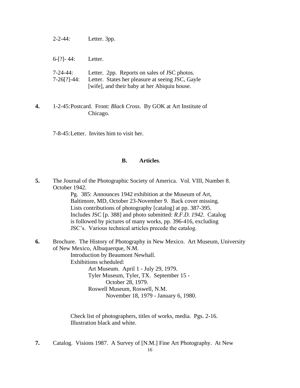| $2 - 2 - 44$ : | Letter. 3pp. |
|----------------|--------------|
|----------------|--------------|

| $6-[?]-44:$ | Letter. |
|-------------|---------|
|-------------|---------|

| 7-24-44:           | Letter. 2pp. Reports on sales of JSC photos.     |
|--------------------|--------------------------------------------------|
| $7-26$ [?] $-44$ : | Letter. States her pleasure at seeing JSC, Gayle |
|                    | [wife], and their baby at her Abiquiu house.     |

**4.** 1-2-45:Postcard. Front: *Black Cross*. By GOK at Art Institute of Chicago.

7-8-45:Letter. Invites him to visit her.

#### **B. Articles**.

**5.** The Journal of the Photographic Society of America. Vol. VIII, Number 8. October 1942.

> Pg. 385: Announces 1942 exhibition at the Museum of Art, Baltimore, MD, October 23-November 9. Back cover missing. Lists contributions of photography [catalog] at pp. 387-395. Includes JSC [p. 388] and photo submitted: *R.F.D. 1942*. Catalog is followed by pictures of many works, pp. 396-416, excluding JSC's. Various technical articles precede the catalog.

**6.** Brochure. The History of Photography in New Mexico. Art Museum, University of New Mexico, Albuquerque, N.M. Introduction by Beaumont Newhall. Exhibitions scheduled: Art Museum. April 1 - July 29, 1979. Tyler Museum, Tyler, TX. September 15 -

October 28, 1979. Roswell Museum, Roswell, N.M. November 18, 1979 - January 6, 1980.

Check list of photographers, titles of works, media. Pgs. 2-16. Illustration black and white.

**7.** Catalog. Visions 1987. A Survey of [N.M.] Fine Art Photography. At New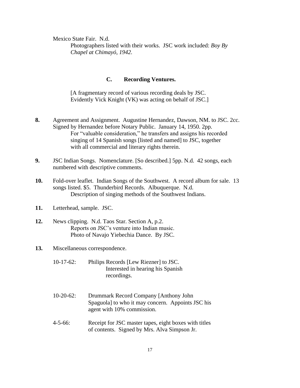Mexico State Fair. N.d.

Photographers listed with their works. JSC work included: *Boy By Chapel at Chimayó, 1942.*

#### **C. Recording Ventures.**

[A fragmentary record of various recording deals by JSC. Evidently Vick Knight (VK) was acting on behalf of JSC.]

- **8.** Agreement and Assignment. Augustine Hernandez, Dawson, NM. to JSC. 2cc. Signed by Hernandez before Notary Public. January 14, 1950. 2pp. For "valuable consideration," he transfers and assigns his recorded singing of 14 Spanish songs [listed and named] to JSC, together with all commercial and literary rights therein.
- **9.** JSC Indian Songs. Nomenclature. [So described.] 5pp. N.d. 42 songs, each numbered with descriptive comments.
- **10.** Fold-over leaflet. Indian Songs of the Southwest. A record album for sale. 13 songs listed. \$5. Thunderbird Records. Albuquerque. N.d. Description of singing methods of the Southwest Indians.
- **11.** Letterhead, sample. JSC.
- **12.** News clipping. N.d. Taos Star. Section A, p.2. Reports on JSC's venture into Indian music. Photo of Navajo Yiebechia Dance. By JSC.
- **13.** Miscellaneous correspondence.
	- 10-17-62: Philips Records [Lew Riezner] to JSC. Interested in hearing his Spanish recordings.
	- 10-20-62: Drummark Record Company [Anthony John Spaguola] to who it may concern. Appoints JSC his agent with 10% commission.
	- 4-5-66: Receipt for JSC master tapes, eight boxes with titles of contents. Signed by Mrs. Alva Simpson Jr.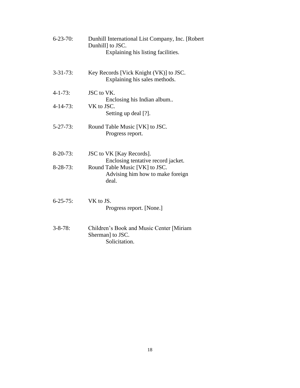| $6 - 23 - 70$ :<br>Dunhill International List Company, Inc. [Robert]<br>Dunhill] to JSC.<br>Explaining his listing facilities. |                                                                                |  |  |
|--------------------------------------------------------------------------------------------------------------------------------|--------------------------------------------------------------------------------|--|--|
| $3 - 31 - 73$ :                                                                                                                | Key Records [Vick Knight (VK)] to JSC.<br>Explaining his sales methods.        |  |  |
| $4 - 1 - 73$ :                                                                                                                 | JSC to VK.<br>Enclosing his Indian album                                       |  |  |
| $4 - 14 - 73$ :                                                                                                                | VK to JSC.<br>Setting up deal [?].                                             |  |  |
| $5 - 27 - 73$ :                                                                                                                | Round Table Music [VK] to JSC.<br>Progress report.                             |  |  |
| $8-20-73$ :                                                                                                                    | JSC to VK [Kay Records].<br>Enclosing tentative record jacket.                 |  |  |
| $8-28-73$ :                                                                                                                    | Round Table Music [VK] to JSC.<br>Advising him how to make foreign<br>deal.    |  |  |
| $6 - 25 - 75$ :                                                                                                                | VK to JS.<br>Progress report. [None.]                                          |  |  |
| $3 - 8 - 78$ :                                                                                                                 | Children's Book and Music Center [Miriam]<br>Sherman] to JSC.<br>Solicitation. |  |  |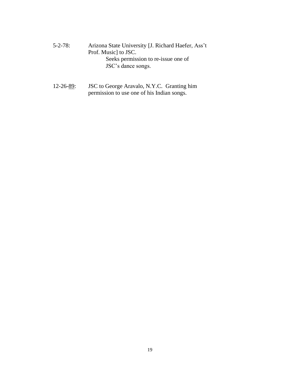- 5-2-78: Arizona State University [J. Richard Haefer, Ass't Prof. Music] to JSC. Seeks permission to re-issue one of JSC's dance songs.
- 12-26-89: JSC to George Aravalo, N.Y.C. Granting him permission to use one of his Indian songs.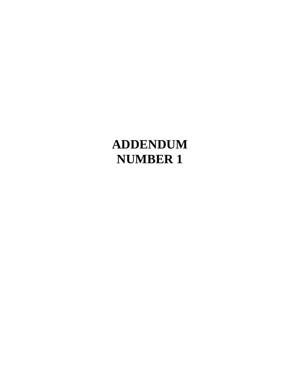## **ADDENDUM NUMBER 1**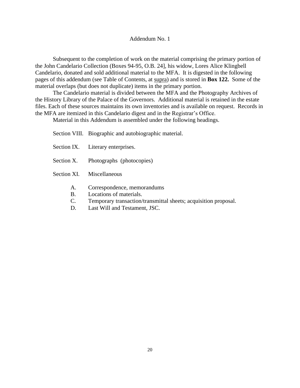#### Addendum No. 1

Subsequent to the completion of work on the material comprising the primary portion of the John Candelario Collection (Boxes 94-95, O.B. 24], his widow, Lores Alice Klingbell Candelario, donated and sold additional material to the MFA. It is digested in the following pages of this addendum (see Table of Contents, at supra) and is stored in **Box 122.** Some of the material overlaps (but does not duplicate) items in the primary portion.

The Candelario material is divided between the MFA and the Photography Archives of the History Library of the Palace of the Governors. Additional material is retained in the estate files. Each of these sources maintains its own inventories and is available on request. Records in the MFA are itemized in this Candelario digest and in the Registrar's Office.

Material in this Addendum is assembled under the following headings.

Section VIII. Biographic and autobiographic material.

- Section IX. Literary enterprises.
- Section X. Photographs (photocopies)
- Section XI. Miscellaneous
	- A. Correspondence, memorandums
	- B. Locations of materials.
	- C. Temporary transaction/transmittal sheets; acquisition proposal.
	- D. Last Will and Testament, JSC.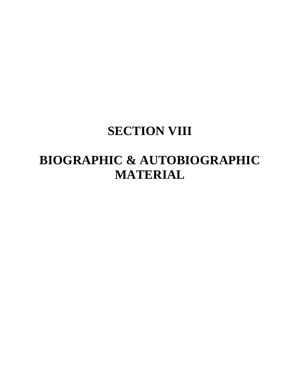## **SECTION VIII**

## **BIOGRAPHIC & AUTOBIOGRAPHIC MATERIAL**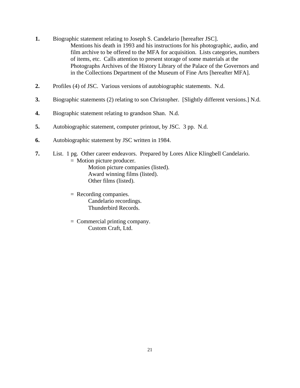- **1.** Biographic statement relating to Joseph S. Candelario [hereafter JSC]. Mentions his death in 1993 and his instructions for his photographic, audio, and film archive to be offered to the MFA for acquisition. Lists categories, numbers of items, etc. Calls attention to present storage of some materials at the Photographs Archives of the History Library of the Palace of the Governors and in the Collections Department of the Museum of Fine Arts [hereafter MFA].
- **2.** Profiles (4) of JSC. Various versions of autobiographic statements. N.d.
- **3.** Biographic statements (2) relating to son Christopher. [Slightly different versions.] N.d.
- **4.** Biographic statement relating to grandson Shan. N.d.
- **5.** Autobiographic statement, computer printout, by JSC. 3 pp. N.d.
- **6.** Autobiographic statement by JSC written in 1984.
- **7.** List. 1 pg. Other career endeavors. Prepared by Lores Alice Klingbell Candelario. = Motion picture producer.

Motion picture companies (listed). Award winning films (listed). Other films (listed).

- = Recording companies. Candelario recordings. Thunderbird Records.
- = Commercial printing company. Custom Craft, Ltd.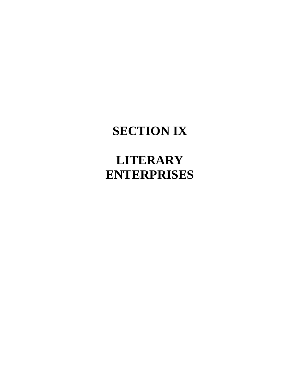## **SECTION IX**

## **LITERARY ENTERPRISES**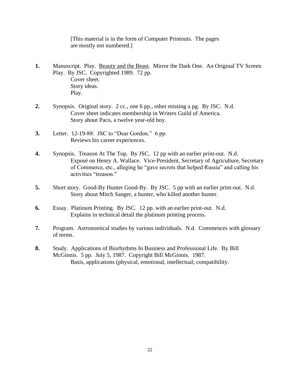[This material is in the form of Computer Printouts. The pages are mostly not numbered.]

- **1.** Manuscript. Play. <u>Beauty and the Beast</u>. Mirror the Dark One. An Original TV Screen Play. By JSC. Copyrighted 1989. 72 pp. Cover sheet. Story ideas. Play.
- **2.** Synopsis. Original story. 2 cc., one 6 pp., other missing a pg. By JSC. N.d. Cover sheet indicates membership in Writers Guild of America. Story about Paco, a twelve year-old boy.
- **3.** Letter. 12-19-88: JSC to "Dear Gordon." 6 pp. Reviews his career experiences.
- **4.** Synopsis. Treason At The Top. By JSC. 12 pp with an earlier print-out. N.d. Exposé on Henry A. Wallace. Vice-President, Secretary of Agriculture, Secretary of Commerce, etc., alleging he "gave secrets that helped Russia" and calling his activities "treason."
- **5.** Short story. Good-By Hunter Good-By. By JSC. 5 pp with an earlier print-out. N.d. Story about Mitch Sanger, a hunter, who killed another hunter.
- **6.** Essay. Platinum Printing. By JSC. 12 pp. with an earlier print-out. N.d. Explains in technical detail the platinum printing process.
- **7.** Program. Astronomical studies by various individuals. N.d. Commences with glossary of terms.
- **8.** Study. Applications of Biorhythms In Business and Professional Life. By Bill McGinnis. 5 pp. July 5, 1987. Copyright Bill McGinnis. 1987. Basis, applications (physical, emotional, intellectual; compatibility.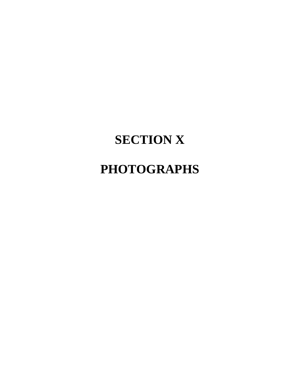# **SECTION X**

## **PHOTOGRAPHS**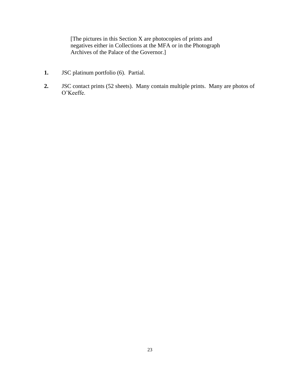[The pictures in this Section X are photocopies of prints and negatives either in Collections at the MFA or in the Photograph Archives of the Palace of the Governor.]

- **1.** JSC platinum portfolio (6). Partial.
- **2.** JSC contact prints (52 sheets). Many contain multiple prints. Many are photos of O'Keeffe.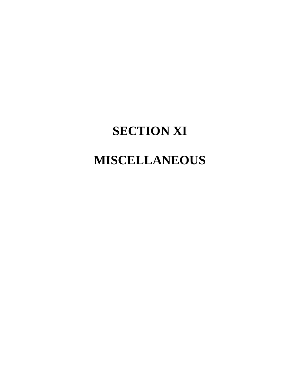## **SECTION XI**

## **MISCELLANEOUS**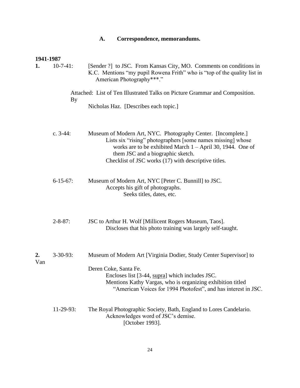| Correspondence, memorandums.<br>А. |  |
|------------------------------------|--|
|------------------------------------|--|

| 1941-1987 |                 |                                                                                                                                                                                                                                                                                          |
|-----------|-----------------|------------------------------------------------------------------------------------------------------------------------------------------------------------------------------------------------------------------------------------------------------------------------------------------|
| 1.        | $10-7-41$ :     | [Sender ?] to JSC. From Kansas City, MO. Comments on conditions in<br>K.C. Mentions "my pupil Rowena Frith" who is "top of the quality list in<br>American Photography***."                                                                                                              |
|           | <b>By</b>       | Attached: List of Ten Illustrated Talks on Picture Grammar and Composition.                                                                                                                                                                                                              |
|           |                 | Nicholas Haz. [Describes each topic.]                                                                                                                                                                                                                                                    |
|           | c. $3-44$ :     | Museum of Modern Art, NYC. Photography Center. [Incomplete.]<br>Lists six "rising" photographers [some names missing] whose<br>works are to be exhibited March $1 -$ April 30, 1944. One of<br>them JSC and a biographic sketch.<br>Checklist of JSC works (17) with descriptive titles. |
|           | $6-15-67$ :     | Museum of Modern Art, NYC [Peter C. Bunnill] to JSC.<br>Accepts his gift of photographs.<br>Seeks titles, dates, etc.                                                                                                                                                                    |
|           | $2 - 8 - 87$ :  | JSC to Arthur H. Wolf [Millicent Rogers Museum, Taos].<br>Discloses that his photo training was largely self-taught.                                                                                                                                                                     |
| 2.<br>Van | $3 - 30 - 93$ : | Museum of Modern Art [Virginia Dodier, Study Center Supervisor] to                                                                                                                                                                                                                       |
|           |                 | Deren Coke, Santa Fe.<br>Encloses list [3-44, supra] which includes JSC.<br>Mentions Kathy Vargas, who is organizing exhibition titled<br>"American Voices for 1994 Photofest", and has interest in JSC.                                                                                 |
|           | 11-29-93:       | The Royal Photographic Society, Bath, England to Lores Candelario.<br>Acknowledges word of JSC's demise.<br>[October 1993].                                                                                                                                                              |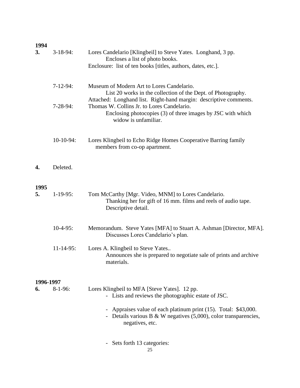### **1994**

| 3.         | $3-18-94$ :  | Lores Candelario [Klingbeil] to Steve Yates. Longhand, 3 pp.<br>Encloses a list of photo books.<br>Enclosure: list of ten books [titles, authors, dates, etc.].                                        |
|------------|--------------|--------------------------------------------------------------------------------------------------------------------------------------------------------------------------------------------------------|
|            | $7-12-94:$   | Museum of Modern Art to Lores Candelario.<br>List 20 works in the collection of the Dept. of Photography.                                                                                              |
|            | $7-28-94$ :  | Attached: Longhand list. Right-hand margin: descriptive comments.<br>Thomas W. Collins Jr. to Lores Candelario.<br>Enclosing photocopies (3) of three images by JSC with which<br>widow is unfamiliar. |
|            | $10-10-94$ : | Lores Klingbeil to Echo Ridge Homes Cooperative Barring family<br>members from co-op apartment.                                                                                                        |
| 4.         | Deleted.     |                                                                                                                                                                                                        |
| 1995<br>5. | $1-19-95$ :  | Tom McCarthy [Mgr. Video, MNM] to Lores Candelario.<br>Thanking her for gift of 16 mm. films and reels of audio tape.<br>Descriptive detail.                                                           |
|            | $10-4-95$ :  | Memorandum. Steve Yates [MFA] to Stuart A. Ashman [Director, MFA].<br>Discusses Lores Candelario's plan.                                                                                               |
|            | $11-14-95$ : | Lores A. Klingbeil to Steve Yates<br>Announces she is prepared to negotiate sale of prints and archive<br>materials.                                                                                   |
| 1996-1997  |              |                                                                                                                                                                                                        |
| 6.         | $8-1-96$ :   | Lores Klingbeil to MFA [Steve Yates]. 12 pp.<br>- Lists and reviews the photographic estate of JSC.                                                                                                    |
|            |              | Appraises value of each platinum print (15). Total: \$43,000.<br>- Details various B & W negatives $(5,000)$ , color transparencies,<br>negatives, etc.                                                |
|            |              | Sets forth 13 categories:                                                                                                                                                                              |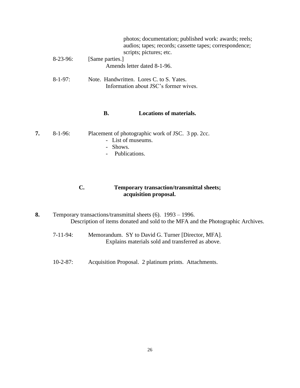|             | photos; documentation; published work: awards; reels;<br>audios; tapes; records; cassette tapes; correspondence;<br>scripts; pictures; etc. |
|-------------|---------------------------------------------------------------------------------------------------------------------------------------------|
| $8-23-96$ : | [Same parties.]                                                                                                                             |
|             | Amends letter dated 8-1-96.                                                                                                                 |
| $8-1-97$ :  | Note. Handwritten. Lores C. to S. Yates.<br>Information about JSC's former wives.                                                           |
|             |                                                                                                                                             |

#### **B. Locations of materials.**

| 7. | $8-1-96$ : |  | Placement of photographic work of JSC. 3 pp. 2cc. |  |  |
|----|------------|--|---------------------------------------------------|--|--|
|----|------------|--|---------------------------------------------------|--|--|

- List of museums.
- Shows.
- Publications.

#### **C. Temporary transaction/transmittal sheets; acquisition proposal.**

- **8.** Temporary transactions/transmittal sheets (6). 1993 1996. Description of items donated and sold to the MFA and the Photographic Archives.
	- 7-11-94: Memorandum. SY to David G. Turner [Director, MFA]. Explains materials sold and transferred as above.
	- 10-2-87: Acquisition Proposal. 2 platinum prints. Attachments.